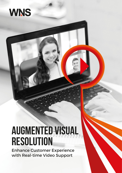

# **Augmented Visual Resolution**

Enhance Customer Experience with Real-time Video Support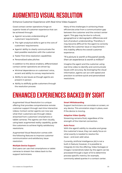## Augmented Visual Resolution

Enhance Customer Experience with Real-time Video Support

Good contact center operations hinge on superior levels of customer experience that can be achieved through:

- Agents' accurate understanding of customers' requirements
- The right analytical skills to get to the core of customers' requirements
- Agents' ability to clearly communicate the best possible resolution with the customer
- Faster first-time-resolution capabilities
- Personalized sales pitches

In addition to the above enablers, differentiated contact center operations are driven by:

- Minimal dependence on customers' voice, accent and ability to convey requirements
- Ability to see issues as though agents are present in-person
- Ability to skillfully guide customers through the resolution process

Many of the challenges in achieving these efficiencies arise from a communication gap between the customer and the contact center agent. This gap may be due to cultural, geographical or demographic differences and lack of product understanding. Therefore, it may become difficult for the agent to correctly identify the customer issue or requirement – this inability affects the overall customer experience.

### *"If a picture is worth a thousand words, then an experience is worth a million!"*

Imagine the agent and the customer using real-time video to identify and communicate issues with accuracy. By leveraging the visual information, agents can act with speed and precision to achieve quick and personalized resolutions.

### Enhanced Experiences Backed by Sight

Augmented Visual Resolution is a unique offering that provides comprehensive remote customer support through real-time interactive videos. Contact center agents can now see what their customers see through videos streamed from customers' smartphone or tablet cameras. The agents can then visually, using basic augmented reality capability, guide the customers to achieve highly satisfactory resolutions.

Augmented Visual Resolution comes with the following features to improve customer communication and satisfactory issue resolution:

#### **Multiple Device Support**

End users can use their smartphone or tablet cameras to stream live videos back to the support technicians.

### **Smart Whiteboarding**

Support technicians can annotate on screen, on any device. This annotation stays in place, even if the device is moving.

#### **Adaptive Video Quality**

Streaming remains fluid, regardless of the strength of the internet connection.

### **Auto Focus**

With the agent's ability to visualize and grasp the customer's issue, they can easily focus on what exactly is needed to resolve the issue – and even add value.

Currently, Artificial Intelligence (AI) is not a built-in feature; however, it is possible to integrate AI into the offering. Video footages or images / screenshots taken by the agent can be processed through a layer of AI to determine process-specific metrics, for example, commonly asked queries in a contact center.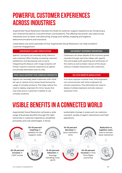### Powerful Customer Experiences Across Industries

Augmented Visual Resolution elevates the levels of customer support experience by introducing a new channel focused on outcome-driven conversations. The offering has proven use cases across industries such as retail, manufacturing, energy and utilities, shipping and logistics, telecommunications and insurance.

Listed below are some examples of how Augmented Visual Resolution can help transform customer engagement:

### **INSURANCE CLAIMS VERIFICATION**

Agents / surveyors can remotely verify claims to save customer effort thereby increasing customer satisfaction and decreasing cost-to-serve. Integrating this feature with image analytics will further improve customer experience as agents can provide estimated costs on calls.

### **POST-SALE SUPPORT FOR COMPLEX PRODUCTS**

Agents can remotely assist customers with initial set ups or resolve minor issues faced during the usage of complex products. This helps reduce the need to deploy engineers for minor issues that may arise due to customers' inability to use complex products.

### **INCORRECT SHIPMENT REPORTING**

Customers can share details of the incorrect goods received through real-time videos with agents. This will enable swift reporting and verification of the claims as well as faster closure of the issues without multiple interactions with customers.

### **ON-SITE REMOTE RESOLUTION**

If an issue requires multiple fixes, field engineers can communicate with other engineers for remote resolutions. This eliminates the need to deploy multiple engineers and also reduces resolution time.

# Visible Benefits in a Connected World

Augmented Visual Resolution achieves a wide range of business benefits through the right outcomes in customer experience, simplified processes and cost advantages. It drives

sustainable change in areas such as customer outreach, quality of agent interactions and field operations: